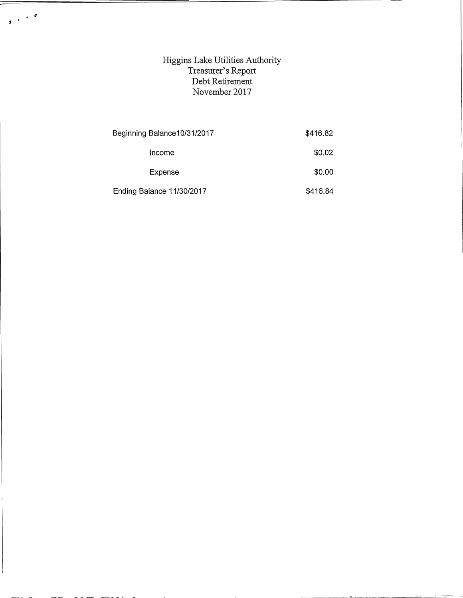## Higgins Lake Utilities Authority Treasurer's Report Debt Retirement November 2017

 $\begin{array}{c} \mathbf{d} & \mathbf{v} & \mathbf{v} \\ \mathbf{d} & \mathbf{v} & \mathbf{v} \end{array}$ 

| Beginning Balance10/31/2017 | \$416.82 |
|-----------------------------|----------|
| Income                      | \$0.02   |
| Expense                     | \$0.00   |
| Ending Balance 11/30/2017   | \$416.84 |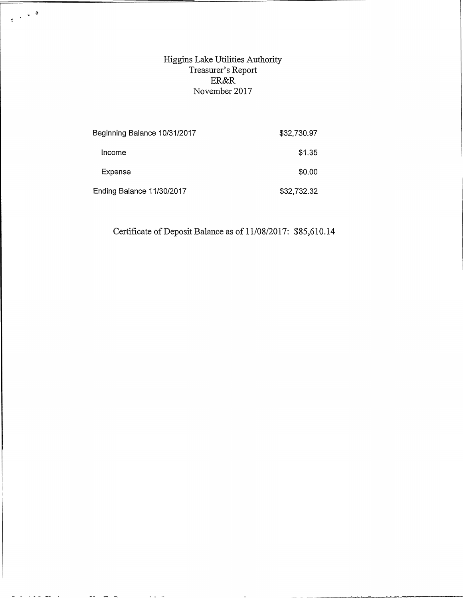Higgins Lake Utilities Authority Treasurer's Report ER&R November 2017

 $\frac{1}{2} \left( \begin{array}{cc} 1 & 0 & 0 \\ 0 & 0 & 0 \\ 0 & 0 & 0 \\ 0 & 0 & 0 \\ 0 & 0 & 0 \\ 0 & 0 & 0 \\ 0 & 0 & 0 \\ 0 & 0 & 0 \\ 0 & 0 & 0 \\ 0 & 0 & 0 \\ 0 & 0 & 0 \\ 0 & 0 & 0 \\ 0 & 0 & 0 \\ 0 & 0 & 0 & 0 \\ 0 & 0 & 0 & 0 \\ 0 & 0 & 0 & 0 \\ 0 & 0 & 0 & 0 \\ 0 & 0 & 0 & 0 \\ 0 & 0 & 0 & 0 \\ 0 & 0 & 0 & 0 \\ 0$ 

الواليك كالأقارب الأراك

 $\sim$   $\sim$ 

 $\sim$   $\sim$ 

| Beginning Balance 10/31/2017 | \$32,730.97 |
|------------------------------|-------------|
| Income                       | \$1.35      |
| Expense                      | \$0.00      |
| Ending Balance 11/30/2017    | \$32,732.32 |

Certificate of Deposit Balance as of 11/08/2017: \$85,610.14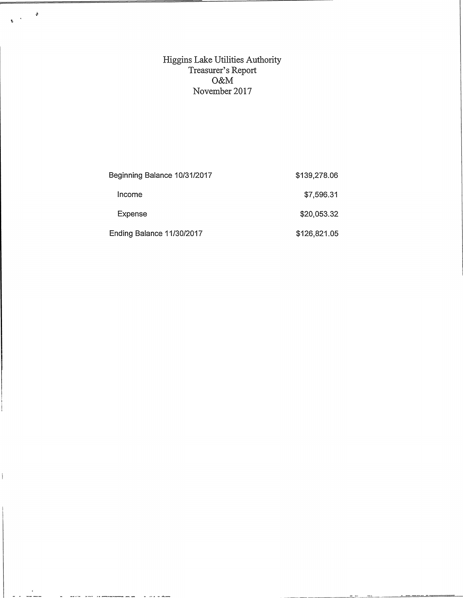Higgins Lake Utilities Authority Treasurer's Report O&M November 2017

 $\tilde{\mathbf{y}}$ 

 $\hat{\mathbf{A}}$  $\hat{\mathbf{z}}$ 

 $\mathbf{I}$ 

| Beginning Balance 10/31/2017 | \$139,278.06 |
|------------------------------|--------------|
| Income                       | \$7,596.31   |
| Expense                      | \$20,053.32  |
| Ending Balance 11/30/2017    | \$126,821.05 |